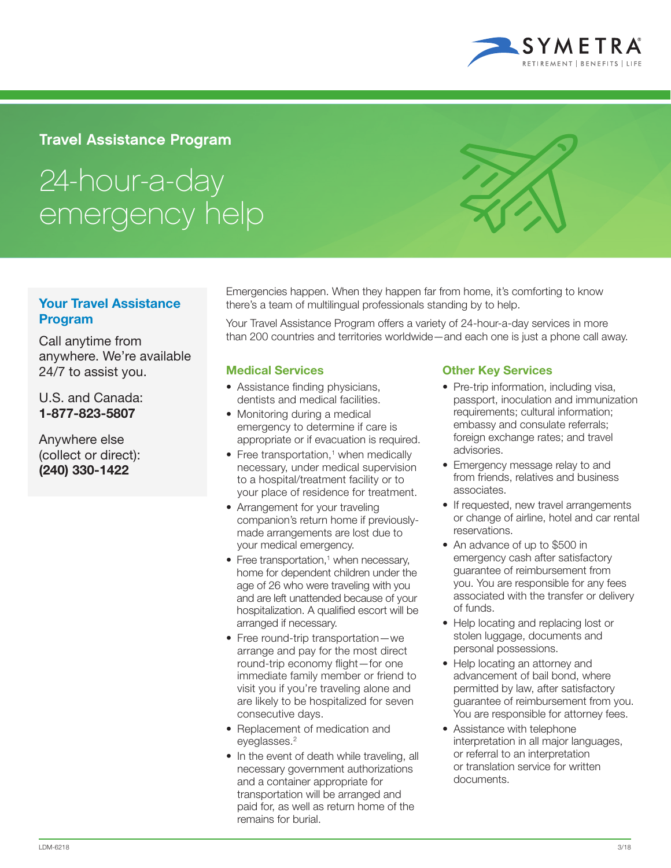

## Travel Assistance Program

# 24-hour-a-day emergency help

### Your Travel Assistance Program

Call anytime from anywhere. We're available 24/7 to assist you.

U.S. and Canada: 1-877-823-5807

Anywhere else (collect or direct): (240) 330-1422

Emergencies happen. When they happen far from home, it's comforting to know there's a team of multilingual professionals standing by to help.

Your Travel Assistance Program offers a variety of 24-hour-a-day services in more than 200 countries and territories worldwide—and each one is just a phone call away.

#### Medical Services

- Assistance finding physicians, dentists and medical facilities.
- Monitoring during a medical emergency to determine if care is appropriate or if evacuation is required.
- $\bullet$  Free transportation,<sup>1</sup> when medically necessary, under medical supervision to a hospital/treatment facility or to your place of residence for treatment.
- Arrangement for your traveling companion's return home if previouslymade arrangements are lost due to your medical emergency.
- Free transportation,<sup>1</sup> when necessary, home for dependent children under the age of 26 who were traveling with you and are left unattended because of your hospitalization. A qualified escort will be arranged if necessary.
- Free round-trip transportation—we arrange and pay for the most direct round-trip economy flight—for one immediate family member or friend to visit you if you're traveling alone and are likely to be hospitalized for seven consecutive days.
- Replacement of medication and eyeglasses.<sup>2</sup>
- In the event of death while traveling, all necessary government authorizations and a container appropriate for transportation will be arranged and paid for, as well as return home of the remains for burial.

#### Other Key Services

- Pre-trip information, including visa, passport, inoculation and immunization requirements; cultural information; embassy and consulate referrals; foreign exchange rates; and travel advisories.
- Emergency message relay to and from friends, relatives and business associates.
- If requested, new travel arrangements or change of airline, hotel and car rental reservations.
- An advance of up to \$500 in emergency cash after satisfactory guarantee of reimbursement from you. You are responsible for any fees associated with the transfer or delivery of funds.
- Help locating and replacing lost or stolen luggage, documents and personal possessions.
- Help locating an attorney and advancement of bail bond, where permitted by law, after satisfactory guarantee of reimbursement from you. You are responsible for attorney fees.
- Assistance with telephone interpretation in all major languages, or referral to an interpretation or translation service for written documents.